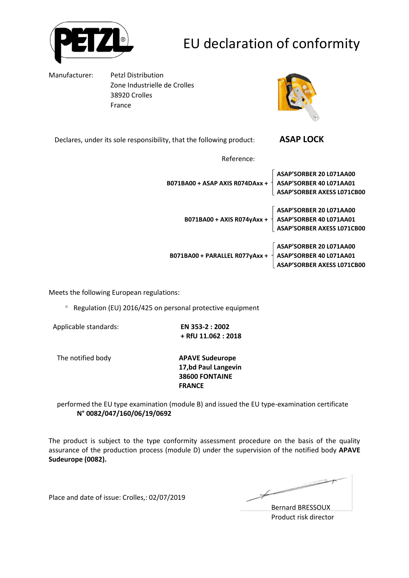

## EU declaration of conformity

Manufacturer: Petzl Distribution Zone Industrielle de Crolles 38920 Crolles France



Declares, under its sole responsibility, that the following product: **ASAP LOCK** 

Reference:

| B071BA00 + ASAP AXIS R074DAxx + | ASAP'SORBER 20 L071AA00<br>ASAP'SORBER 40 L071AA01<br>ASAP'SORBER AXESS L071CB00             |
|---------------------------------|----------------------------------------------------------------------------------------------|
| B071BA00 + AXIS R074yAxx +      | ASAP'SORBER 20 L071AA00<br>$\parallel$ ASAP'SORBER 40 L071AA01<br>ASAP'SORBER AXESS L071CB00 |
| B071BA00 + PARALLEL R077yAxx +  | ASAP'SORBER 20 L071AA00<br>ASAP'SORBER 40 L071AA01<br>ASAP'SORBER AXESS L071CB00             |

Meets the following European regulations:

<sup>o</sup> Regulation (EU) 2016/425 on personal protective equipment

Applicable standards: **EN 353-2 : 2002**

**+ RfU 11.062 : 2018**

The notified body **APAVE Sudeurope 17,bd Paul Langevin 38600 FONTAINE FRANCE**

performed the EU type examination (module B) and issued the EU type-examination certificate **N° 0082/047/160/06/19/0692**

The product is subject to the type conformity assessment procedure on the basis of the quality assurance of the production process (module D) under the supervision of the notified body **APAVE Sudeurope (0082).**

Place and date of issue: Crolles,: 02/07/2019

 $\not\!\!\!\!/-$ 

Bernard BRESSOUX Product risk director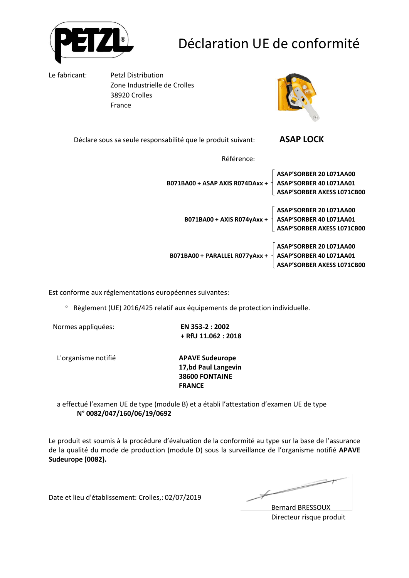

## Déclaration UE de conformité

Le fabricant: Petzl Distribution Zone Industrielle de Crolles 38920 Crolles France



Déclare sous sa seule responsabilité que le produit suivant: **ASAP LOCK** 

Référence:

| B071BA00 + ASAP AXIS R074DAxx + | ASAP'SORBER 20 L071AA00<br>ASAP'SORBER 40 L071AA01<br>ASAP'SORBER AXESS L071CB00                                                          |
|---------------------------------|-------------------------------------------------------------------------------------------------------------------------------------------|
|                                 | ASAP'SORBER 20 L071AA00<br>$\overline{1}$ B071BA00 + AXIS R074yAxx + $\overline{1}$ ASAP'SORBER 40 L071AA01<br>ASAP'SORBER AXESS L071CB00 |
| B071BA00 + PARALLEL R077yAxx +  | ASAP'SORBER 20 L071AA00<br>ASAP'SORBER 40 L071AA01<br>ASAP'SORBER AXESS L071CB00                                                          |

Est conforme aux réglementations européennes suivantes:

<sup>o</sup> Règlement (UE) 2016/425 relatif aux équipements de protection individuelle.

Normes appliquées: **EN 353-2 : 2002**

**+ RfU 11.062 : 2018**

L'organisme notifié **APAVE Sudeurope**

**17,bd Paul Langevin 38600 FONTAINE FRANCE**

a effectué l'examen UE de type (module B) et a établi l'attestation d'examen UE de type **N° 0082/047/160/06/19/0692**

Le produit est soumis à la procédure d'évaluation de la conformité au type sur la base de l'assurance de la qualité du mode de production (module D) sous la surveillance de l'organisme notifié **APAVE Sudeurope (0082).**

Date et lieu d'établissement: Crolles,: 02/07/2019

 $\not\!\!\!\!/-$ 

Bernard BRESSOUX Directeur risque produit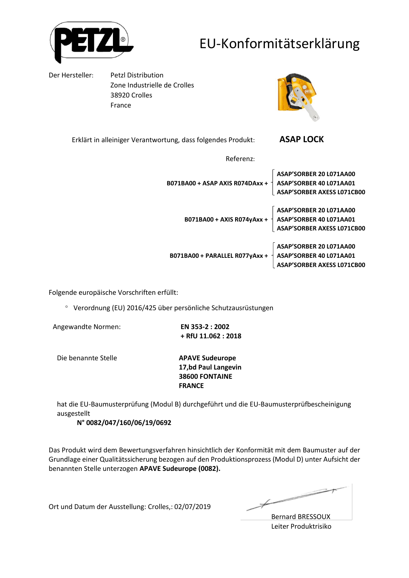

### EU-Konformitätserklärung

Der Hersteller: Petzl Distribution

Zone Industrielle de Crolles 38920 Crolles France



Erklärt in alleiniger Verantwortung, dass folgendes Produkt: **ASAP LOCK** 

Referenz:

| B071BA00 + ASAP AXIS R074DAxx + | ASAP'SORBER 20 L071AA00<br>ASAP'SORBER 40 L071AA01<br><b>ASAP'SORBER AXESS L071CB00</b>      |
|---------------------------------|----------------------------------------------------------------------------------------------|
| B071BA00 + AXIS R074yAxx +      | ASAP'SORBER 20 L071AA00<br>$\parallel$ ASAP'SORBER 40 L071AA01<br>ASAP'SORBER AXESS L071CB00 |
| B071BA00 + PARALLEL R077yAxx +  | ASAP'SORBER 20 L071AA00<br>ASAP'SORBER 40 L071AA01<br><b>ASAP'SORBER AXESS L071CB00</b>      |

Folgende europäische Vorschriften erfüllt:

Verordnung (EU) 2016/425 über persönliche Schutzausrüstungen

Angewandte Normen: **EN 353-2 : 2002**

**+ RfU 11.062 : 2018**

Die benannte Stelle **APAVE Sudeurope**

**17,bd Paul Langevin 38600 FONTAINE FRANCE**

hat die EU-Baumusterprüfung (Modul B) durchgeführt und die EU-Baumusterprüfbescheinigung ausgestellt

**N° 0082/047/160/06/19/0692**

Das Produkt wird dem Bewertungsverfahren hinsichtlich der Konformität mit dem Baumuster auf der Grundlage einer Qualitätssicherung bezogen auf den Produktionsprozess (Modul D) unter Aufsicht der benannten Stelle unterzogen **APAVE Sudeurope (0082).**

Ort und Datum der Ausstellung: Crolles,: 02/07/2019

Bernard BRESSOUX Leiter Produktrisiko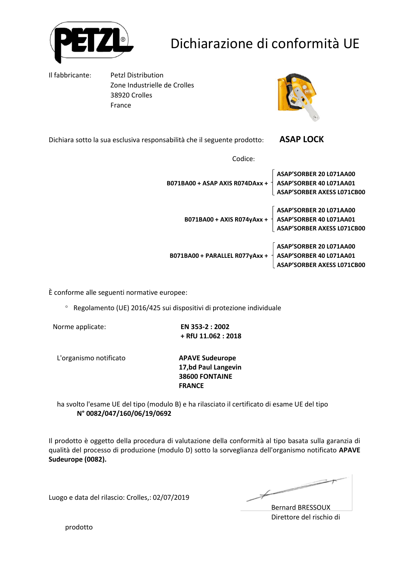

# Dichiarazione di conformità UE

Il fabbricante: Petzl Distribution Zone Industrielle de Crolles 38920 Crolles France



Dichiara sotto la sua esclusiva responsabilità che il seguente prodotto: **ASAP LOCK**  Codice:

| B071BA00 + ASAP AXIS R074DAxx + | ASAP'SORBER 20 L071AA00<br>ASAP'SORBER 40 L071AA01<br>ASAP'SORBER AXESS L071CB00                                                          |
|---------------------------------|-------------------------------------------------------------------------------------------------------------------------------------------|
|                                 | ASAP'SORBER 20 L071AA00<br>$\overline{1}$ B071BA00 + AXIS R074yAxx + $\overline{1}$ ASAP'SORBER 40 L071AA01<br>ASAP'SORBER AXESS L071CB00 |
| B071BA00 + PARALLEL R077yAxx +  | ASAP'SORBER 20 L071AA00<br>ASAP'SORBER 40 L071AA01<br>_ASAP'SORBER AXESS L071CB00                                                         |

È conforme alle seguenti normative europee:

Regolamento (UE) 2016/425 sui dispositivi di protezione individuale

Norme applicate: **EN 353-2 : 2002**

**+ RfU 11.062 : 2018**

L'organismo notificato **APAVE Sudeurope**

**17,bd Paul Langevin 38600 FONTAINE FRANCE**

ha svolto l'esame UE del tipo (modulo B) e ha rilasciato il certificato di esame UE del tipo **N° 0082/047/160/06/19/0692**

Il prodotto è oggetto della procedura di valutazione della conformità al tipo basata sulla garanzia di qualità del processo di produzione (modulo D) sotto la sorveglianza dell'organismo notificato **APAVE Sudeurope (0082).**

Luogo e data del rilascio: Crolles,: 02/07/2019

 $\not\!\!\!-\!\!\!-$ 

Bernard BRESSOUX Direttore del rischio di

prodotto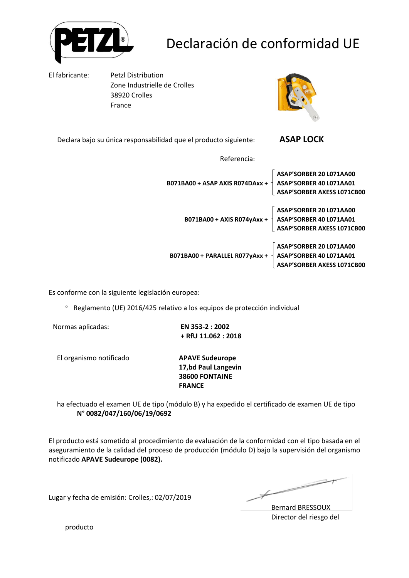

## Declaración de conformidad UE

El fabricante: Petzl Distribution Zone Industrielle de Crolles 38920 Crolles France



Declara bajo su única responsabilidad que el producto siguiente: **ASAP LOCK**  Referencia:

| B071BA00 + ASAP AXIS R074DAxx + $\left\{\n \begin{array}{c}\n \text{ASAP'SORER 40 L071AAO1}\n \text{ASAP'SORER AXESS LO71CBO0}\n \end{array}\n\right.$ | ASAP'SORBER 20 L071AA00                                                                                                                   |
|--------------------------------------------------------------------------------------------------------------------------------------------------------|-------------------------------------------------------------------------------------------------------------------------------------------|
|                                                                                                                                                        | ASAP'SORBER 20 L071AA00<br>$\overline{1}$ B071BA00 + AXIS R074yAxx + $\overline{1}$ ASAP'SORBER 40 L071AA01<br>ASAP'SORBER AXESS L071CB00 |
| B071BA00 + PARALLEL R077yAxx +                                                                                                                         | ASAP'SORBER 20 L071AA00<br>ASAP'SORBER 40 L071AA01<br>ASAP'SORBER AXESS L071CB00                                                          |

Es conforme con la siguiente legislación europea:

Reglamento (UE) 2016/425 relativo a los equipos de protección individual

Normas aplicadas: **EN 353-2 : 2002**

**+ RfU 11.062 : 2018**

El organismo notificado **APAVE Sudeurope**

**17,bd Paul Langevin 38600 FONTAINE FRANCE**

ha efectuado el examen UE de tipo (módulo B) y ha expedido el certificado de examen UE de tipo **N° 0082/047/160/06/19/0692**

El producto está sometido al procedimiento de evaluación de la conformidad con el tipo basada en el aseguramiento de la calidad del proceso de producción (módulo D) bajo la supervisión del organismo notificado **APAVE Sudeurope (0082).**

Lugar y fecha de emisión: Crolles,: 02/07/2019

 $\not\!\!\!\!/-$ 

Bernard BRESSOUX Director del riesgo del

producto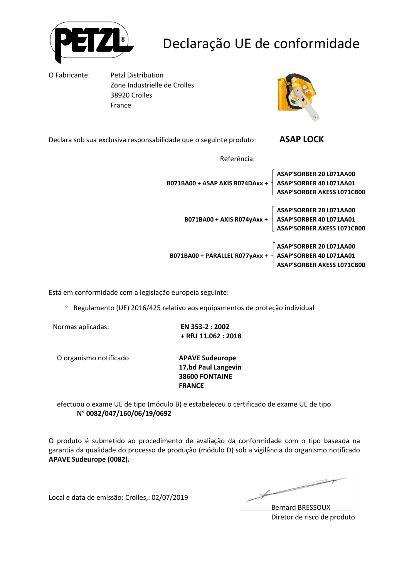

## Declaração UE de conformidade

O Fabricante: Petzl Distribution Zone Industrielle de Crolles 38920 Crolles France



Declara sob sua exclusiva responsabilidade que o seguinte produto: **ASAP LOCK**  Referência: **ASAP'SORBER 20 L071AA00 B071BA00 + ASAP AXIS R074DAxx + ASAP'SORBER 40 L071AA01 ASAP'SORBER AXESS L071CB00 ASAP'SORBER 20 L071AA00 B071BA00 + AXIS R074yAxx + ASAP'SORBER 40 L071AA01 ASAP'SORBER AXESS L071CB00**

> **ASAP'SORBER 20 L071AA00 B071BA00 + PARALLEL R077yAxx + ASAP'SORBER 40 L071AA01 ASAP'SORBER AXESS L071CB00**

Está em conformidade com a legislação europeia seguinte:

Regulamento (UE) 2016/425 relativo aos equipamentos de proteção individual

Normas aplicadas: **EN 353-2 : 2002**

**+ RfU 11.062 : 2018**

O organismo notificado **APAVE Sudeurope**

**17,bd Paul Langevin 38600 FONTAINE FRANCE**

efectuou o exame UE de tipo (módulo B) e estabeleceu o certificado de exame UE de tipo **N° 0082/047/160/06/19/0692**

O produto é submetido ao procedimento de avaliação da conformidade com o tipo baseada na garantia da qualidade do processo de produção (módulo D) sob a vigilância do organismo notificado **APAVE Sudeurope (0082).**

Local e data de emissão: Crolles,: 02/07/2019

Bernard BRESSOUX Diretor de risco de produto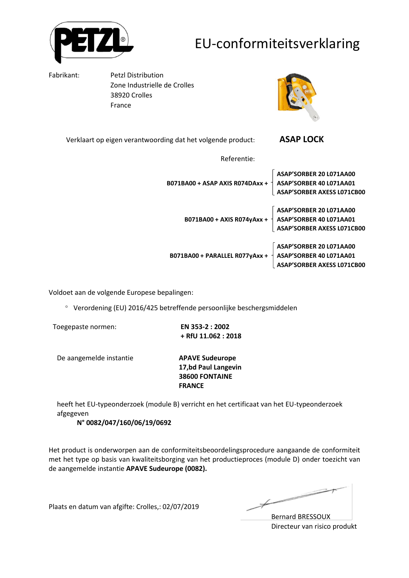

### EU-conformiteitsverklaring

Fabrikant: Petzl Distribution Zone Industrielle de Crolles 38920 Crolles France



Verklaart op eigen verantwoording dat het volgende product: **ASAP LOCK**  Referentie:

| B071BA00 + ASAP AXIS R074DAxx +                      | ASAP'SORBER 20 L071AA00<br>ASAP'SORBER 40 L071AA01<br>ASAP'SORBER AXESS L071CB00 |
|------------------------------------------------------|----------------------------------------------------------------------------------|
| B071BA00 + AXIS R074yAxx +   ASAP'SORBER 40 L071AA01 | ASAP'SORBER 20 L071AA00<br>ASAP'SORBER AXESS L071CB00                            |
| B071BA00 + PARALLEL R077yAxx +                       | ASAP'SORBER 20 L071AA00<br>ASAP'SORBER 40 L071AA01<br>ASAP'SORBER AXESS L071CB00 |

Voldoet aan de volgende Europese bepalingen:

Verordening (EU) 2016/425 betreffende persoonlijke beschergsmiddelen

Toegepaste normen: **EN 353-2 : 2002**

**+ RfU 11.062 : 2018**

De aangemelde instantie **APAVE Sudeurope**

**17,bd Paul Langevin 38600 FONTAINE FRANCE**

heeft het EU-typeonderzoek (module B) verricht en het certificaat van het EU-typeonderzoek afgegeven

**N° 0082/047/160/06/19/0692**

Het product is onderworpen aan de conformiteitsbeoordelingsprocedure aangaande de conformiteit met het type op basis van kwaliteitsborging van het productieproces (module D) onder toezicht van de aangemelde instantie **APAVE Sudeurope (0082).**

Plaats en datum van afgifte: Crolles,: 02/07/2019

Bernard BRESSOUX Directeur van risico produkt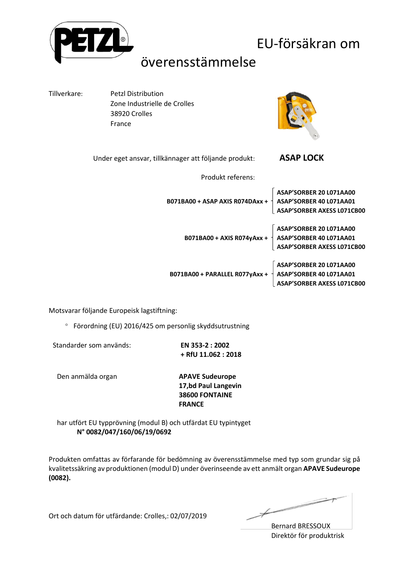

EU-försäkran om

#### överensstämmelse

| Tillverkare: | <b>Petzl Distribution</b><br>Zone Industrielle de Crolles<br>38920 Crolles<br>France |                                                                                  |
|--------------|--------------------------------------------------------------------------------------|----------------------------------------------------------------------------------|
|              | Under eget ansvar, tillkännager att följande produkt:                                | <b>ASAP LOCK</b>                                                                 |
|              | Produkt referens:                                                                    |                                                                                  |
|              | B071BA00 + ASAP AXIS R074DAxx +                                                      | ASAP'SORBER 20 L071AA00<br>ASAP'SORBER 40 L071AA01<br>ASAP'SORBER AXESS L071CB00 |
|              | B071BA00 + AXIS R074yAxx + $\frac{1}{2}$                                             | ASAP'SORBER 20 L071AA00<br>ASAP'SORBER 40 L071AA01<br>ASAP'SORBER AXESS L071CB00 |
|              | B071BA00 + PARALLEL R077yAxx +                                                       | ASAP'SORBER 20 L071AA00<br>ASAP'SORBER 40 L071AA01<br>ASAP'SORBER AXESS L071CB00 |

Motsvarar följande Europeisk lagstiftning:

Förordning (EU) 2016/425 om personlig skyddsutrustning

Standarder som används: **EN 353-2 : 2002**

**+ RfU 11.062 : 2018**

Den anmälda organ **APAVE Sudeurope**

**17,bd Paul Langevin 38600 FONTAINE FRANCE**

har utfört EU typprövning (modul B) och utfärdat EU typintyget **N° 0082/047/160/06/19/0692**

Produkten omfattas av förfarande för bedömning av överensstämmelse med typ som grundar sig på kvalitetssäkring av produktionen (modul D) under överinseende av ett anmält organ **APAVE Sudeurope (0082).**

Ort och datum för utfärdande: Crolles,: 02/07/2019

 $\not\!\!\!\!/$ 

Bernard BRESSOUX Direktör för produktrisk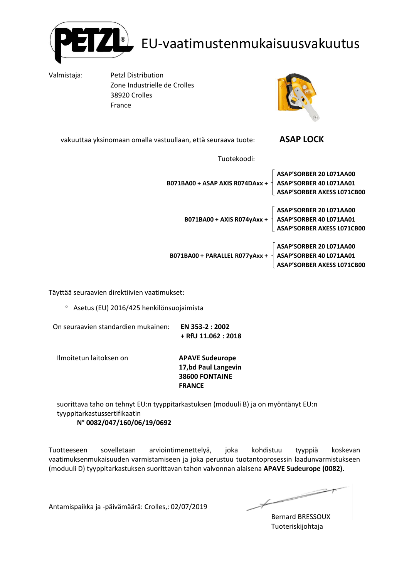

### EU-vaatimustenmukaisuusvakuutus

Valmistaja: Petzl Distribution Zone Industrielle de Crolles 38920 Crolles France



**ASAP'SORBER AXESS L071CB00**

vakuuttaa yksinomaan omalla vastuullaan, että seuraava tuote: **ASAP LOCK**  Tuotekoodi: **ASAP'SORBER 20 L071AA00 B071BA00 + ASAP AXIS R074DAxx + ASAP'SORBER 40 L071AA01 ASAP'SORBER AXESS L071CB00 ASAP'SORBER 20 L071AA00 B071BA00 + AXIS R074yAxx + ASAP'SORBER 40 L071AA01 ASAP'SORBER AXESS L071CB00 ASAP'SORBER 20 L071AA00 B071BA00 + PARALLEL R077yAxx + ASAP'SORBER 40 L071AA01**

Täyttää seuraavien direktiivien vaatimukset:

Asetus (EU) 2016/425 henkilönsuojaimista

On seuraavien standardien mukainen: **EN 353-2 : 2002**

**+ RfU 11.062 : 2018**

Ilmoitetun laitoksen on **APAVE Sudeurope**

**17,bd Paul Langevin 38600 FONTAINE FRANCE**

suorittava taho on tehnyt EU:n tyyppitarkastuksen (moduuli B) ja on myöntänyt EU:n tyyppitarkastussertifikaatin **N° 0082/047/160/06/19/0692**

Tuotteeseen sovelletaan arviointimenettelyä, joka kohdistuu tyyppiä koskevan vaatimuksenmukaisuuden varmistamiseen ja joka perustuu tuotantoprosessin laadunvarmistukseen (moduuli D) tyyppitarkastuksen suorittavan tahon valvonnan alaisena **APAVE Sudeurope (0082).**

Antamispaikka ja -päivämäärä: Crolles,: 02/07/2019

Bernard BRESSOUX Tuoteriskijohtaja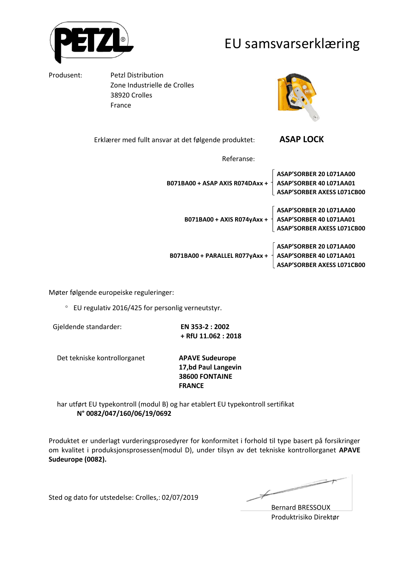

### EU samsvarserklæring

Produsent: Petzl Distribution Zone Industrielle de Crolles 38920 Crolles France

![](_page_9_Picture_4.jpeg)

Erklærer med fullt ansvar at det følgende produktet: **ASAP LOCK** 

Referanse:

| B071BA00 + ASAP AXIS R074DAxx + | ASAP'SORBER 20 L071AA00<br>ASAP'SORBER 40 L071AA01<br><b>ASAP'SORBER AXESS L071CB00</b> |
|---------------------------------|-----------------------------------------------------------------------------------------|
| B071BA00 + AXIS R074yAxx +      | ASAP'SORBER 20 L071AA00<br>ASAP'SORBER 40 L071AA01<br>ASAP'SORBER AXESS L071CB00        |
| B071BA00 + PARALLEL R077yAxx +  | ASAP'SORBER 20 L071AA00<br>ASAP'SORBER 40 L071AA01<br><b>ASAP'SORBER AXESS L071CB00</b> |

Møter følgende europeiske reguleringer:

EU regulativ 2016/425 for personlig verneutstyr.

Gjeldende standarder: **EN 353-2 : 2002**

**+ RfU 11.062 : 2018**

Det tekniske kontrollorganet **APAVE Sudeurope**

**17,bd Paul Langevin 38600 FONTAINE FRANCE**

har utført EU typekontroll (modul B) og har etablert EU typekontroll sertifikat **N° 0082/047/160/06/19/0692**

Produktet er underlagt vurderingsprosedyrer for konformitet i forhold til type basert på forsikringer om kvalitet i produksjonsprosessen(modul D), under tilsyn av det tekniske kontrollorganet **APAVE Sudeurope (0082).**

Sted og dato for utstedelse: Crolles,: 02/07/2019

¥

Bernard BRESSOUX Produktrisiko Direktør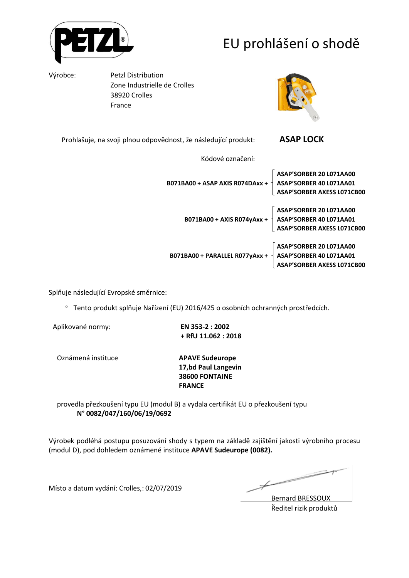![](_page_10_Picture_0.jpeg)

# EU prohlášení o shodě

Výrobce: Petzl Distribution Zone Industrielle de Crolles 38920 Crolles France

![](_page_10_Picture_4.jpeg)

Prohlašuje, na svoji plnou odpovědnost, že následující produkt: **ASAP LOCK**  Kódové označení: **ASAP'SORBER 20 L071AA00 B071BA00 + ASAP AXIS R074DAxx + ASAP'SORBER 40 L071AA01 ASAP'SORBER AXESS L071CB00 ASAP'SORBER 20 L071AA00 B071BA00 + AXIS R074yAxx + ASAP'SORBER 40 L071AA01 ASAP'SORBER AXESS L071CB00 ASAP'SORBER 20 L071AA00 B071BA00 + PARALLEL R077yAxx + ASAP'SORBER 40 L071AA01 ASAP'SORBER AXESS L071CB00**

Splňuje následující Evropské směrnice:

Tento produkt splňuje Nařízení (EU) 2016/425 o osobních ochranných prostředcích.

Aplikované normy: **EN 353-2 : 2002**

**+ RfU 11.062 : 2018**

Oznámená instituce **APAVE Sudeurope**

**17,bd Paul Langevin 38600 FONTAINE FRANCE**

provedla přezkoušení typu EU (modul B) a vydala certifikát EU o přezkoušení typu **N° 0082/047/160/06/19/0692**

Výrobek podléhá postupu posuzování shody s typem na základě zajištění jakosti výrobního procesu (modul D), pod dohledem oznámené instituce **APAVE Sudeurope (0082).**

Místo a datum vydání: Crolles,: 02/07/2019

Bernard BRESSOUX Ředitel rizik produktů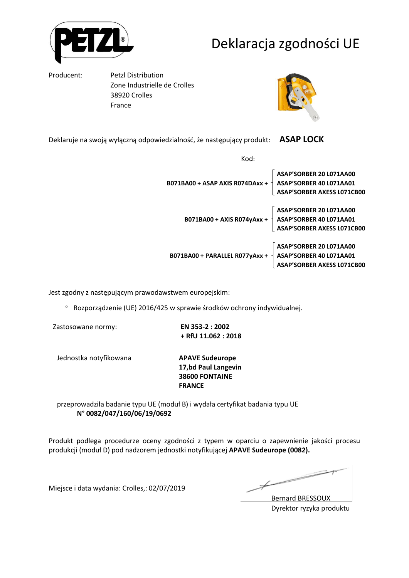# Deklaracja zgodności UE

![](_page_11_Picture_1.jpeg)

Producent: Petzl Distribution Zone Industrielle de Crolles 38920 Crolles France

![](_page_11_Picture_4.jpeg)

Deklaruje na swoją wyłączną odpowiedzialność, że następujący produkt: **ASAP LOCK** 

Kod:

| B071BA00 + ASAP AXIS R074DAxx + | ASAP'SORBER 20 L071AA00<br>ASAP'SORBER 40 L071AA01<br>ASAP'SORBER AXESS L071CB00        |
|---------------------------------|-----------------------------------------------------------------------------------------|
| B071BA00 + AXIS R074yAxx +      | ASAP'SORBER 20 L071AA00<br>ASAP'SORBER 40 L071AA01<br><b>ASAP'SORBER AXESS L071CB00</b> |
| B071BA00 + PARALLEL R077yAxx +  | ASAP'SORBER 20 L071AA00<br>ASAP'SORBER 40 L071AA01<br><b>ASAP'SORBER AXESS L071CB00</b> |

Jest zgodny z następującym prawodawstwem europejskim:

Rozporządzenie (UE) 2016/425 w sprawie środków ochrony indywidualnej.

Zastosowane normy: **EN 353-2 : 2002**

**+ RfU 11.062 : 2018**

Jednostka notyfikowana **APAVE Sudeurope**

**17,bd Paul Langevin 38600 FONTAINE FRANCE**

przeprowadziła badanie typu UE (moduł B) i wydała certyfikat badania typu UE **N° 0082/047/160/06/19/0692**

Produkt podlega procedurze oceny zgodności z typem w oparciu o zapewnienie jakości procesu produkcji (moduł D) pod nadzorem jednostki notyfikującej **APAVE Sudeurope (0082).**

Bernard BRESSOUX Dyrektor ryzyka produktu

Miejsce i data wydania: Crolles,: 02/07/2019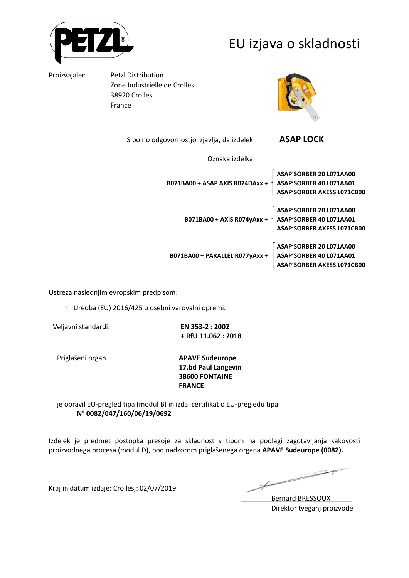![](_page_12_Picture_0.jpeg)

### EU izjava o skladnosti

Proizvajalec: Petzl Distribution Zone Industrielle de Crolles 38920 Crolles France

![](_page_12_Picture_4.jpeg)

S polno odgovornostjo izjavlja, da izdelek: **ASAP LOCK** 

Oznaka izdelka:

| B071BA00 + ASAP AXIS R074DAxx + | ASAP'SORBER 20 L071AA00<br>ASAP'SORBER 40 L071AA01<br><b>ASAP'SORBER AXESS L071CB00</b> |
|---------------------------------|-----------------------------------------------------------------------------------------|
| B071BA00 + AXIS R074yAxx +      | ASAP'SORBER 20 L071AA00<br>ASAP'SORBER 40 L071AA01<br>ASAP'SORBER AXESS L071CB00        |
| B071BA00 + PARALLEL R077yAxx +  | ASAP'SORBER 20 L071AA00<br>ASAP'SORBER 40 L071AA01<br>ASAP'SORBER AXESS L071CB00        |

Ustreza naslednjim evropskim predpisom:

Uredba (EU) 2016/425 o osebni varovalni opremi.

Veljavni standardi: **EN 353-2 : 2002**

**+ RfU 11.062 : 2018**

Priglašeni organ **APAVE Sudeurope 17,bd Paul Langevin 38600 FONTAINE FRANCE**

je opravil EU-pregled tipa (modul B) in izdal certifikat o EU-pregledu tipa **N° 0082/047/160/06/19/0692**

Izdelek je predmet postopka presoje za skladnost s tipom na podlagi zagotavljanja kakovosti proizvodnega procesa (modul D), pod nadzorom priglašenega organa **APAVE Sudeurope (0082).**

Bernard BRESSOUX Direktor tveganj proizvode

Kraj in datum izdaje: Crolles,: 02/07/2019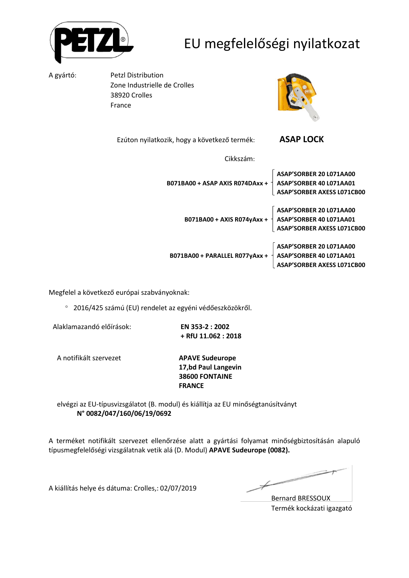![](_page_13_Picture_0.jpeg)

# EU megfelelőségi nyilatkozat

A gyártó: Petzl Distribution Zone Industrielle de Crolles 38920 Crolles France

![](_page_13_Picture_4.jpeg)

Ezúton nyilatkozik, hogy a következő termék: **ASAP LOCK** 

Cikkszám:

| B071BA00 + ASAP AXIS R074DAxx +                                  | ASAP'SORBER 20 L071AA00<br>ASAP'SORBER 40 L071AA01<br>ASAP'SORBER AXESS L071CB00        |
|------------------------------------------------------------------|-----------------------------------------------------------------------------------------|
| B071BA00 + AXIS R074yAxx + $\frac{1}{2}$ ASAP'SORBER 40 L071AA01 | ASAP'SORBER 20 L071AA00<br><b>ASAP'SORBER AXESS L071CB00</b>                            |
| B071BA00 + PARALLEL R077yAxx +                                   | ASAP'SORBER 20 L071AA00<br>ASAP'SORBER 40 L071AA01<br><b>ASAP'SORBER AXESS L071CB00</b> |

Megfelel a következő európai szabványoknak:

2016/425 számú (EU) rendelet az egyéni védőeszközökről.

Alaklamazandó előírások: **EN 353-2 : 2002**

**+ RfU 11.062 : 2018**

A notifikált szervezet **APAVE Sudeurope**

**17,bd Paul Langevin 38600 FONTAINE FRANCE**

elvégzi az EU-típusvizsgálatot (B. modul) és kiállítja az EU minőségtanúsítványt **N° 0082/047/160/06/19/0692**

A terméket notifikált szervezet ellenőrzése alatt a gyártási folyamat minőségbiztosításán alapuló típusmegfelelőségi vizsgálatnak vetik alá (D. Modul) **APAVE Sudeurope (0082).**

A kiállítás helye és dátuma: Crolles,: 02/07/2019

Bernard BRESSOUX Termék kockázati igazgató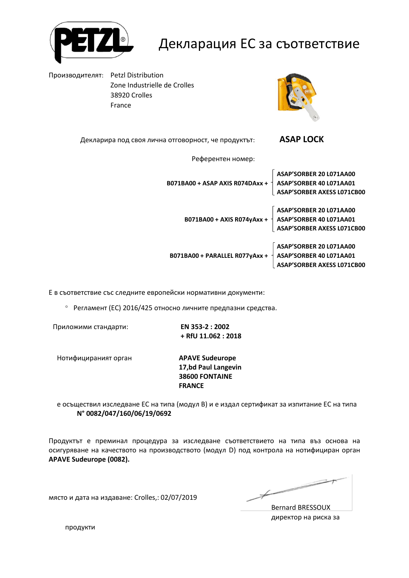![](_page_14_Picture_0.jpeg)

#### Декларация ЕС за съответствие

Производителят: Petzl Distribution Zone Industrielle de Crolles 38920 Crolles France

![](_page_14_Picture_3.jpeg)

Декларира под своя лична отговорност, че продуктът: **ASAP LOCK**  Референтен номер: **ASAP'SORBER 20 L071AA00 B071BA00 + ASAP AXIS R074DAxx + ASAP'SORBER 40 L071AA01 ASAP'SORBER AXESS L071CB00 ASAP'SORBER 20 L071AA00 B071BA00 + AXIS R074yAxx + ASAP'SORBER 40 L071AA01 ASAP'SORBER AXESS L071CB00 ASAP'SORBER 20 L071AA00 B071BA00 + PARALLEL R077yAxx + ASAP'SORBER 40 L071AA01 ASAP'SORBER AXESS L071CB00**

Е в съответствие със следните европейски нормативни документи:

Регламент (ЕС) 2016/425 относно личните предпазни средства.

Приложими стандарти: **EN 353-2 : 2002**

**+ RfU 11.062 : 2018**

Нотифицираният орган **APAVE Sudeurope**

**17,bd Paul Langevin 38600 FONTAINE FRANCE**

е осъществил изследване ЕС на типа (модул В) и е издал сертификат за изпитание ЕС на типа **N° 0082/047/160/06/19/0692**

Продуктът е преминал процедура за изследване съответствието на типа въз основа на осигуряване на качеството на производството (модул D) под контрола на нотифициран орган **APAVE Sudeurope (0082).**

място и дата на издаване: Crolles,: 02/07/2019

Bernard BRESSOUX директор на риска за

продукти